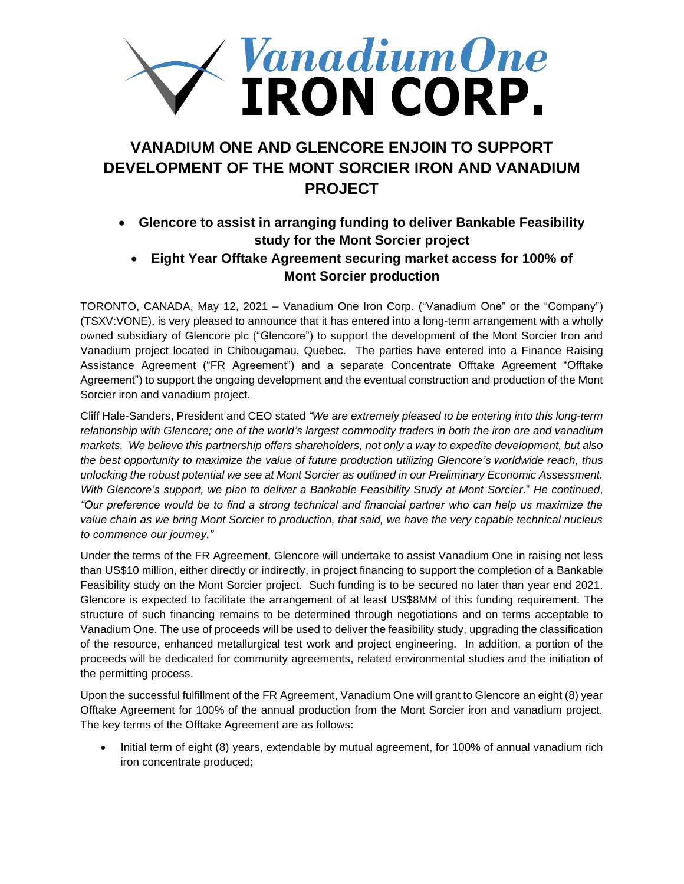

# **VANADIUM ONE AND GLENCORE ENJOIN TO SUPPORT DEVELOPMENT OF THE MONT SORCIER IRON AND VANADIUM PROJECT**

- **Glencore to assist in arranging funding to deliver Bankable Feasibility study for the Mont Sorcier project**
	- **Eight Year Offtake Agreement securing market access for 100% of Mont Sorcier production**

TORONTO, CANADA, May 12, 2021 – Vanadium One Iron Corp. ("Vanadium One" or the "Company") (TSXV:VONE), is very pleased to announce that it has entered into a long-term arrangement with a wholly owned subsidiary of Glencore plc ("Glencore") to support the development of the Mont Sorcier Iron and Vanadium project located in Chibougamau, Quebec. The parties have entered into a Finance Raising Assistance Agreement ("FR Agreement") and a separate Concentrate Offtake Agreement "Offtake Agreement") to support the ongoing development and the eventual construction and production of the Mont Sorcier iron and vanadium project.

Cliff Hale-Sanders, President and CEO stated *"We are extremely pleased to be entering into this long-term relationship with Glencore; one of the world's largest commodity traders in both the iron ore and vanadium markets. We believe this partnership offers shareholders, not only a way to expedite development, but also the best opportunity to maximize the value of future production utilizing Glencore's worldwide reach, thus unlocking the robust potential we see at Mont Sorcier as outlined in our Preliminary Economic Assessment. With Glencore's support, we plan to deliver a Bankable Feasibility Study at Mont Sorcier*." *He continued*, *"Our preference would be to find a strong technical and financial partner who can help us maximize the value chain as we bring Mont Sorcier to production, that said, we have the very capable technical nucleus to commence our journey."* 

Under the terms of the FR Agreement, Glencore will undertake to assist Vanadium One in raising not less than US\$10 million, either directly or indirectly, in project financing to support the completion of a Bankable Feasibility study on the Mont Sorcier project. Such funding is to be secured no later than year end 2021. Glencore is expected to facilitate the arrangement of at least US\$8MM of this funding requirement. The structure of such financing remains to be determined through negotiations and on terms acceptable to Vanadium One. The use of proceeds will be used to deliver the feasibility study, upgrading the classification of the resource, enhanced metallurgical test work and project engineering. In addition, a portion of the proceeds will be dedicated for community agreements, related environmental studies and the initiation of the permitting process.

Upon the successful fulfillment of the FR Agreement, Vanadium One will grant to Glencore an eight (8) year Offtake Agreement for 100% of the annual production from the Mont Sorcier iron and vanadium project. The key terms of the Offtake Agreement are as follows:

• Initial term of eight (8) years, extendable by mutual agreement, for 100% of annual vanadium rich iron concentrate produced;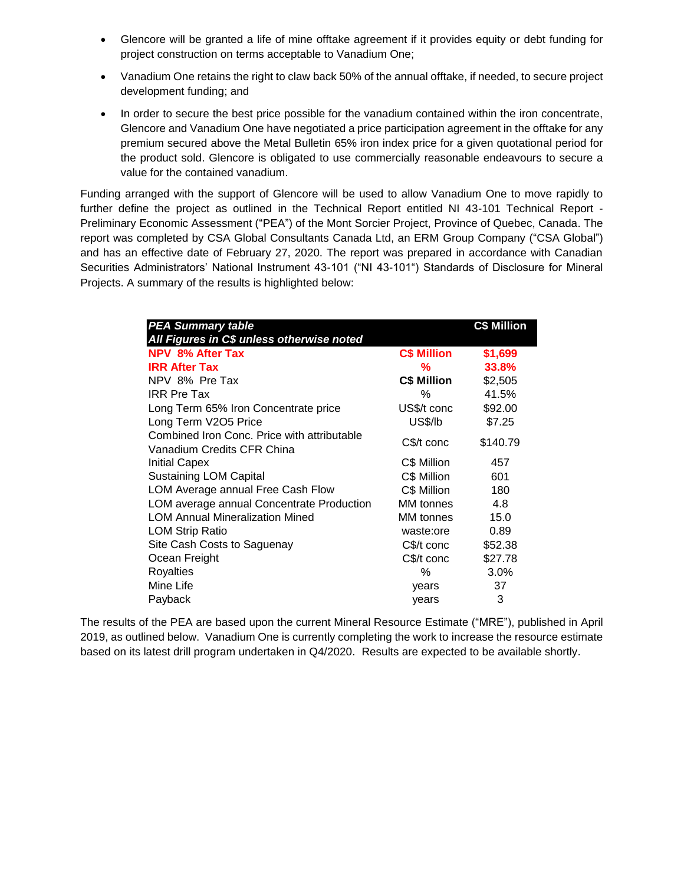- Glencore will be granted a life of mine offtake agreement if it provides equity or debt funding for project construction on terms acceptable to Vanadium One;
- Vanadium One retains the right to claw back 50% of the annual offtake, if needed, to secure project development funding; and
- In order to secure the best price possible for the vanadium contained within the iron concentrate, Glencore and Vanadium One have negotiated a price participation agreement in the offtake for any premium secured above the Metal Bulletin 65% iron index price for a given quotational period for the product sold. Glencore is obligated to use commercially reasonable endeavours to secure a value for the contained vanadium.

Funding arranged with the support of Glencore will be used to allow Vanadium One to move rapidly to further define the project as outlined in the Technical Report entitled NI 43-101 Technical Report - Preliminary Economic Assessment ("PEA") of the Mont Sorcier Project, Province of Quebec, Canada. The report was completed by CSA Global Consultants Canada Ltd, an ERM Group Company ("CSA Global") and has an effective date of February 27, 2020. The report was prepared in accordance with Canadian Securities Administrators' National Instrument 43-101 ("NI 43-101") Standards of Disclosure for Mineral Projects. A summary of the results is highlighted below:

| <b>PEA Summary table</b><br>All Figures in C\$ unless otherwise noted     |                    | <b>C\$ Million</b> |
|---------------------------------------------------------------------------|--------------------|--------------------|
| <b>NPV 8% After Tax</b>                                                   | <b>C\$ Million</b> | \$1,699            |
| <b>IRR After Tax</b>                                                      | %                  | 33.8%              |
| NPV 8% Pre Tax                                                            | <b>C\$ Million</b> | \$2,505            |
| <b>IRR Pre Tax</b>                                                        | ℅                  | 41.5%              |
| Long Term 65% Iron Concentrate price                                      | US\$/t conc        | \$92.00            |
| Long Term V2O5 Price                                                      | US\$/lb            | \$7.25             |
| Combined Iron Conc. Price with attributable<br>Vanadium Credits CFR China | C\$/t conc         | \$140.79           |
| <b>Initial Capex</b>                                                      | C\$ Million        | 457                |
| <b>Sustaining LOM Capital</b>                                             | C\$ Million        | 601                |
| LOM Average annual Free Cash Flow                                         | C\$ Million        | 180                |
| LOM average annual Concentrate Production                                 | MM tonnes          | 4.8                |
| <b>LOM Annual Mineralization Mined</b>                                    | MM tonnes          | 15.0               |
| <b>LOM Strip Ratio</b>                                                    | waste:ore          | 0.89               |
| Site Cash Costs to Saguenay                                               | $C\$ math>f conc   | \$52.38            |
| Ocean Freight                                                             | C\$/t conc         | \$27.78            |
| <b>Royalties</b>                                                          | ℅                  | 3.0%               |
| Mine Life                                                                 | years              | 37                 |
| Payback                                                                   | years              | 3                  |

The results of the PEA are based upon the current Mineral Resource Estimate ("MRE"), published in April 2019, as outlined below. Vanadium One is currently completing the work to increase the resource estimate based on its latest drill program undertaken in Q4/2020. Results are expected to be available shortly.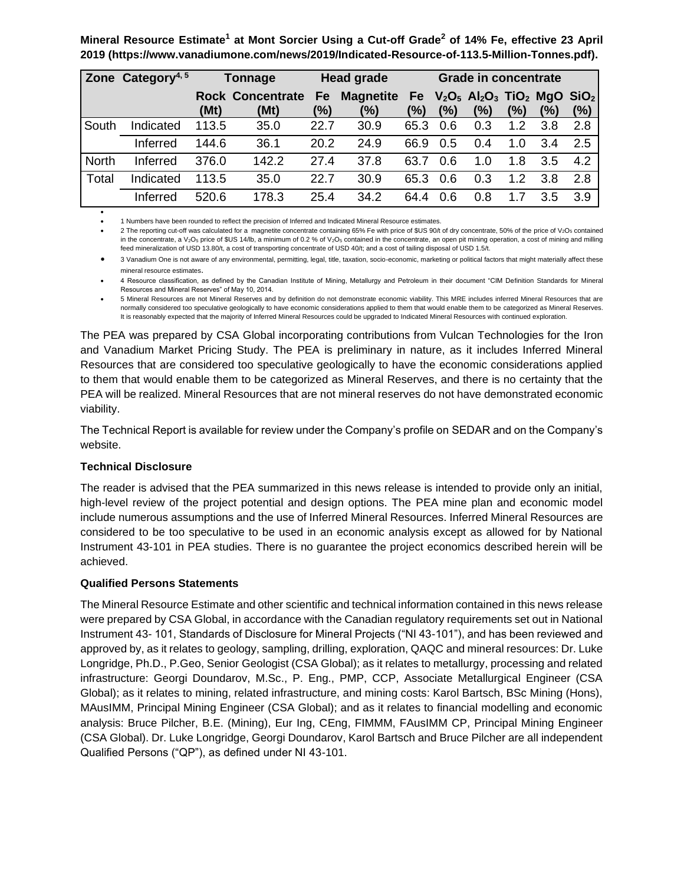**Mineral Resource Estimate<sup>1</sup> at Mont Sorcier Using a Cut-off Grade<sup>2</sup> of 14% Fe, effective 23 April 2019 (https://www.vanadiumone.com/news/2019/Indicated-Resource-of-113.5-Million-Tonnes.pdf).**

|              | Zone Category <sup>4, 5</sup> |       | <b>Tonnage</b>          | <b>Head grade</b> |                  |           | <b>Grade in concentrate</b> |                                                                               |     |     |     |
|--------------|-------------------------------|-------|-------------------------|-------------------|------------------|-----------|-----------------------------|-------------------------------------------------------------------------------|-----|-----|-----|
|              |                               |       | <b>Rock Concentrate</b> | Fe                | <b>Magnetite</b> | <b>Fe</b> |                             | $V_2O_5$ Al <sub>2</sub> O <sub>3</sub> TiO <sub>2</sub> MgO SiO <sub>2</sub> |     |     |     |
|              |                               | (Mt)  | (Mt)                    | (%)               | (%)              | (%)       | (%)                         | (%)                                                                           | (%) | (%) | (%) |
| South        | Indicated                     | 113.5 | 35.0                    | 22.7              | 30.9             | 65.3      | 0.6                         | 0.3                                                                           | 1.2 | 3.8 | 2.8 |
|              | Inferred                      | 144.6 | 36.1                    | 20.2              | 24.9             | 66.9      | 0.5                         | 0.4                                                                           | 1.0 | 3.4 | 2.5 |
| <b>North</b> | Inferred                      | 376.0 | 142.2                   | 27.4              | 37.8             | 63.7      | 0.6                         | 1.0                                                                           | 1.8 | 3.5 | 4.2 |
| Total        | Indicated                     | 113.5 | 35.0                    | 22.7              | 30.9             | 65.3      | 0.6                         | 0.3                                                                           | 1.2 | 3.8 | 2.8 |
|              | Inferred                      | 520.6 | 178.3                   | 25.4              | 34.2             | 64.4      | 0.6                         | 0.8                                                                           | 1.7 | 3.5 | 3.9 |

• 1 Numbers have been rounded to reflect the precision of Inferred and Indicated Mineral Resource estimates.

2 The reporting cut-off was calculated for a magnetite concentrate containing 65% Fe with price of \$US 90/t of dry concentrate, 50% of the price of V<sub>2</sub>O<sub>5</sub> contained in the concentrate, a V<sub>2</sub>O<sub>5</sub> price of \$US 14/lb, a minimum of 0.2 % of V<sub>2</sub>O<sub>5</sub> contained in the concentrate, an open pit mining operation, a cost of mining and milling feed mineralization of USD 13.80/t, a cost of transporting concentrate of USD 40/t; and a cost of tailing disposal of USD 1.5/t.

• 3 Vanadium One is not aware of any environmental, permitting, legal, title, taxation, socio-economic, marketing or political factors that might materially affect these mineral resource estimates.

• 4 Resource classification, as defined by the Canadian Institute of Mining, Metallurgy and Petroleum in their document "CIM Definition Standards for Mineral Resources and Mineral Reserves" of May 10, 2014.

• 5 Mineral Resources are not Mineral Reserves and by definition do not demonstrate economic viability. This MRE includes inferred Mineral Resources that are normally considered too speculative geologically to have economic considerations applied to them that would enable them to be categorized as Mineral Reserves. It is reasonably expected that the majority of Inferred Mineral Resources could be upgraded to Indicated Mineral Resources with continued exploration.

The PEA was prepared by CSA Global incorporating contributions from Vulcan Technologies for the Iron and Vanadium Market Pricing Study. The PEA is preliminary in nature, as it includes Inferred Mineral Resources that are considered too speculative geologically to have the economic considerations applied to them that would enable them to be categorized as Mineral Reserves, and there is no certainty that the PEA will be realized. Mineral Resources that are not mineral reserves do not have demonstrated economic viability.

The Technical Report is available for review under the Company's profile on SEDAR and on the Company's website.

# **Technical Disclosure**

•

The reader is advised that the PEA summarized in this news release is intended to provide only an initial, high-level review of the project potential and design options. The PEA mine plan and economic model include numerous assumptions and the use of Inferred Mineral Resources. Inferred Mineral Resources are considered to be too speculative to be used in an economic analysis except as allowed for by National Instrument 43-101 in PEA studies. There is no guarantee the project economics described herein will be achieved.

#### **Qualified Persons Statements**

The Mineral Resource Estimate and other scientific and technical information contained in this news release were prepared by CSA Global, in accordance with the Canadian regulatory requirements set out in National Instrument 43- 101, Standards of Disclosure for Mineral Projects ("NI 43-101"), and has been reviewed and approved by, as it relates to geology, sampling, drilling, exploration, QAQC and mineral resources: Dr. Luke Longridge, Ph.D., P.Geo, Senior Geologist (CSA Global); as it relates to metallurgy, processing and related infrastructure: Georgi Doundarov, M.Sc., P. Eng., PMP, CCP, Associate Metallurgical Engineer (CSA Global); as it relates to mining, related infrastructure, and mining costs: Karol Bartsch, BSc Mining (Hons), MAusIMM, Principal Mining Engineer (CSA Global); and as it relates to financial modelling and economic analysis: Bruce Pilcher, B.E. (Mining), Eur Ing, CEng, FIMMM, FAusIMM CP, Principal Mining Engineer (CSA Global). Dr. Luke Longridge, Georgi Doundarov, Karol Bartsch and Bruce Pilcher are all independent Qualified Persons ("QP"), as defined under NI 43-101.